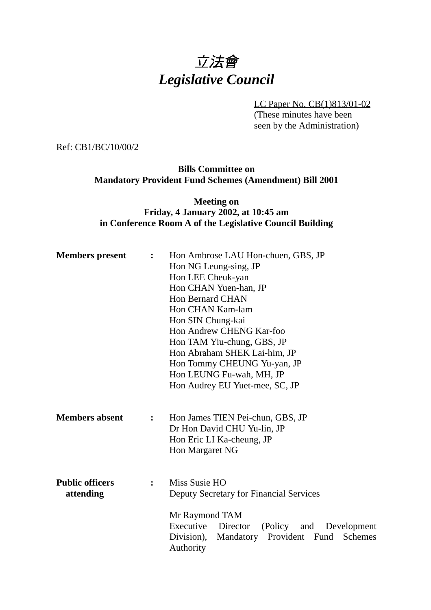# 立法會 *Legislative Council*

LC Paper No. CB(1)813/01-02 (These minutes have been seen by the Administration)

Ref: CB1/BC/10/00/2

**Bills Committee on Mandatory Provident Fund Schemes (Amendment) Bill 2001**

#### **Meeting on Friday, 4 January 2002, at 10:45 am in Conference Room A of the Legislative Council Building**

| <b>Members</b> present              | $\ddot{\cdot}$ | Hon Ambrose LAU Hon-chuen, GBS, JP<br>Hon NG Leung-sing, JP<br>Hon LEE Cheuk-yan<br>Hon CHAN Yuen-han, JP<br><b>Hon Bernard CHAN</b><br>Hon CHAN Kam-lam<br>Hon SIN Chung-kai<br>Hon Andrew CHENG Kar-foo<br>Hon TAM Yiu-chung, GBS, JP<br>Hon Abraham SHEK Lai-him, JP<br>Hon Tommy CHEUNG Yu-yan, JP |
|-------------------------------------|----------------|--------------------------------------------------------------------------------------------------------------------------------------------------------------------------------------------------------------------------------------------------------------------------------------------------------|
|                                     |                | Hon LEUNG Fu-wah, MH, JP<br>Hon Audrey EU Yuet-mee, SC, JP                                                                                                                                                                                                                                             |
| <b>Members absent</b>               | $\ddot{\cdot}$ | Hon James TIEN Pei-chun, GBS, JP<br>Dr Hon David CHU Yu-lin, JP<br>Hon Eric LI Ka-cheung, JP<br>Hon Margaret NG                                                                                                                                                                                        |
| <b>Public officers</b><br>attending | $\ddot{\cdot}$ | Miss Susie HO<br>Deputy Secretary for Financial Services                                                                                                                                                                                                                                               |
|                                     |                | Mr Raymond TAM<br>Executive<br>Director<br>(Policy and<br>Development<br>Division),<br>Mandatory<br>Provident Fund Schemes<br>Authority                                                                                                                                                                |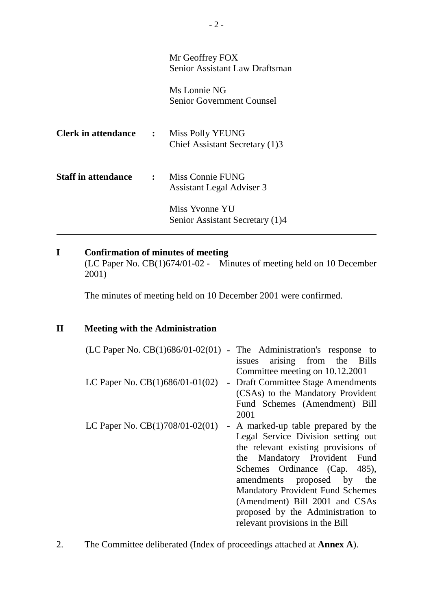|                              | Mr Geoffrey FOX<br>Senior Assistant Law Draftsman      |
|------------------------------|--------------------------------------------------------|
|                              | Ms Lonnie NG<br><b>Senior Government Counsel</b>       |
| <b>Clerk in attendance :</b> | Miss Polly YEUNG<br>Chief Assistant Secretary (1)3     |
| <b>Staff in attendance</b>   | : Miss Connie FUNG<br><b>Assistant Legal Adviser 3</b> |
|                              | Miss Yvonne YU<br>Senior Assistant Secretary (1)4      |

# **I Confirmation of minutes of meeting**

(LC Paper No. CB(1)674/01-02 - Minutes of meeting held on 10 December 2001)

The minutes of meeting held on 10 December 2001 were confirmed.

### **II Meeting with the Administration**

|                                   | $(LC$ Paper No. $CB(1)686/01-02(01)$ - The Administration's response to<br>issues arising from the Bills   |
|-----------------------------------|------------------------------------------------------------------------------------------------------------|
| LC Paper No. $CB(1)686/01-01(02)$ | Committee meeting on 10.12.2001<br>- Draft Committee Stage Amendments<br>(CSAs) to the Mandatory Provident |
|                                   | Fund Schemes (Amendment) Bill<br>2001                                                                      |
| LC Paper No. $CB(1)708/01-02(01)$ | - A marked-up table prepared by the<br>Legal Service Division setting out                                  |
|                                   | the relevant existing provisions of<br>the Mandatory Provident Fund                                        |
|                                   | Schemes Ordinance (Cap. 485),<br>amendments proposed by the                                                |
|                                   | <b>Mandatory Provident Fund Schemes</b><br>(Amendment) Bill 2001 and CSAs                                  |
|                                   | proposed by the Administration to<br>relevant provisions in the Bill                                       |

2. The Committee deliberated (Index of proceedings attached at **Annex A**).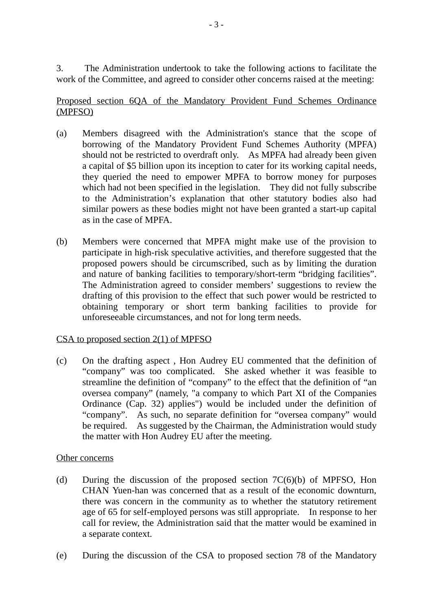3. The Administration undertook to take the following actions to facilitate the work of the Committee, and agreed to consider other concerns raised at the meeting:

Proposed section 6QA of the Mandatory Provident Fund Schemes Ordinance (MPFSO)

- (a) Members disagreed with the Administration's stance that the scope of borrowing of the Mandatory Provident Fund Schemes Authority (MPFA) should not be restricted to overdraft only. As MPFA had already been given a capital of \$5 billion upon its inception to cater for its working capital needs, they queried the need to empower MPFA to borrow money for purposes which had not been specified in the legislation. They did not fully subscribe to the Administration's explanation that other statutory bodies also had similar powers as these bodies might not have been granted a start-up capital as in the case of MPFA.
- (b) Members were concerned that MPFA might make use of the provision to participate in high-risk speculative activities, and therefore suggested that the proposed powers should be circumscribed, such as by limiting the duration and nature of banking facilities to temporary/short-term "bridging facilities". The Administration agreed to consider members' suggestions to review the drafting of this provision to the effect that such power would be restricted to obtaining temporary or short term banking facilities to provide for unforeseeable circumstances, and not for long term needs.

#### CSA to proposed section 2(1) of MPFSO

(c) On the drafting aspect , Hon Audrey EU commented that the definition of "company" was too complicated. She asked whether it was feasible to streamline the definition of "company" to the effect that the definition of "an oversea company" (namely, "a company to which Part XI of the Companies Ordinance (Cap. 32) applies") would be included under the definition of "company". As such, no separate definition for "oversea company" would be required. As suggested by the Chairman, the Administration would study the matter with Hon Audrey EU after the meeting.

#### Other concerns

- (d) During the discussion of the proposed section  $7C(6)(b)$  of MPFSO, Hon CHAN Yuen-han was concerned that as a result of the economic downturn, there was concern in the community as to whether the statutory retirement age of 65 for self-employed persons was still appropriate. In response to her call for review, the Administration said that the matter would be examined in a separate context.
- (e) During the discussion of the CSA to proposed section 78 of the Mandatory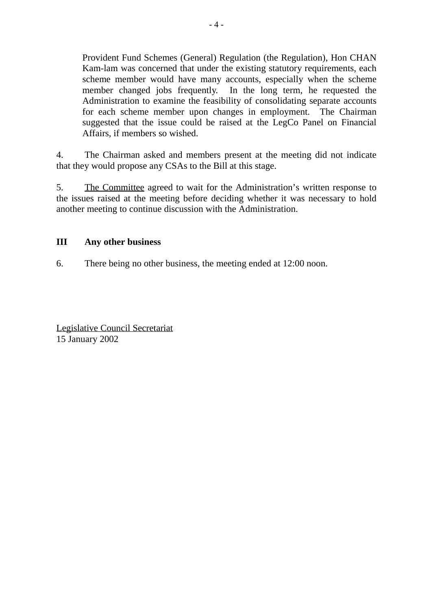Provident Fund Schemes (General) Regulation (the Regulation), Hon CHAN Kam-lam was concerned that under the existing statutory requirements, each scheme member would have many accounts, especially when the scheme member changed jobs frequently. In the long term, he requested the Administration to examine the feasibility of consolidating separate accounts for each scheme member upon changes in employment. The Chairman suggested that the issue could be raised at the LegCo Panel on Financial Affairs, if members so wished.

4. The Chairman asked and members present at the meeting did not indicate that they would propose any CSAs to the Bill at this stage.

5. The Committee agreed to wait for the Administration's written response to the issues raised at the meeting before deciding whether it was necessary to hold another meeting to continue discussion with the Administration.

#### **III Any other business**

6. There being no other business, the meeting ended at 12:00 noon.

Legislative Council Secretariat 15 January 2002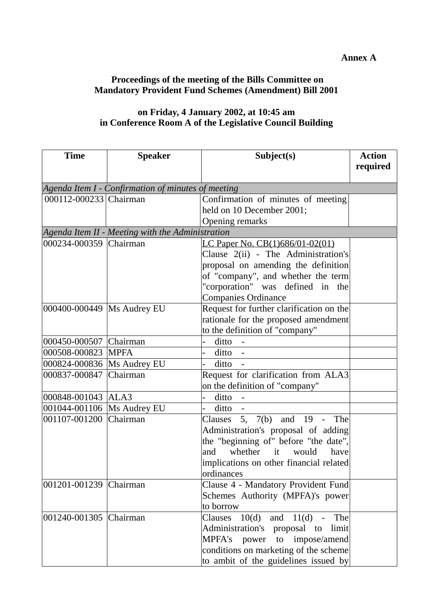#### **Annex A**

# **Proceedings of the meeting of the Bills Committee on Mandatory Provident Fund Schemes (Amendment) Bill 2001**

# **on Friday, 4 January 2002, at 10:45 am in Conference Room A of the Legislative Council Building**

| <b>Time</b>                  | <b>Speaker</b>                                     | Subject(s)                               | <b>Action</b> |
|------------------------------|----------------------------------------------------|------------------------------------------|---------------|
|                              |                                                    |                                          | required      |
|                              | Agenda Item I - Confirmation of minutes of meeting |                                          |               |
| 000112-000233 Chairman       |                                                    | Confirmation of minutes of meeting       |               |
|                              |                                                    | held on 10 December 2001;                |               |
|                              |                                                    | Opening remarks                          |               |
|                              | Agenda Item II - Meeting with the Administration   |                                          |               |
| 000234-000359 Chairman       |                                                    | LC Paper No. CB(1)686/01-02(01)          |               |
|                              |                                                    | Clause 2(ii) - The Administration's      |               |
|                              |                                                    | proposal on amending the definition      |               |
|                              |                                                    | of "company", and whether the term       |               |
|                              |                                                    | "corporation" was defined in the         |               |
|                              |                                                    | <b>Companies Ordinance</b>               |               |
| 000400-000449   Ms Audrey EU |                                                    | Request for further clarification on the |               |
|                              |                                                    | rationale for the proposed amendment     |               |
|                              |                                                    | to the definition of "company"           |               |
| 000450-000507 Chairman       |                                                    | ditto<br>$\overline{\phantom{a}}$        |               |
| 000508-000823                | <b>MPFA</b>                                        | $ditto -$                                |               |
| 000824-000836 Ms Audrey EU   |                                                    | ditto -                                  |               |
| 000837-000847 Chairman       |                                                    | Request for clarification from ALA3      |               |
|                              |                                                    | on the definition of "company"           |               |
| 000848-001043 ALA3           |                                                    | ditto                                    |               |
| 001044-001106  Ms Audrey EU  |                                                    | ditto                                    |               |
| 001107-001200 Chairman       |                                                    | Clauses 5, $7(b)$ and 19 - The           |               |
|                              |                                                    | Administration's proposal of adding      |               |
|                              |                                                    | the "beginning of" before "the date",    |               |
|                              |                                                    | whether<br>it<br>would<br>have<br>and    |               |
|                              |                                                    | implications on other financial related  |               |
|                              |                                                    | ordinances                               |               |
| 001201-001239 Chairman       |                                                    | Clause 4 - Mandatory Provident Fund      |               |
|                              |                                                    | Schemes Authority (MPFA)'s power         |               |
|                              |                                                    | to borrow                                |               |
| 001240-001305 Chairman       |                                                    | $10(d)$ and $11(d)$ -<br>The<br>Clauses  |               |
|                              |                                                    | Administration's proposal to<br>limit    |               |
|                              |                                                    | MPFA's power to impose/amend             |               |
|                              |                                                    | conditions on marketing of the scheme    |               |
|                              |                                                    | to ambit of the guidelines issued by     |               |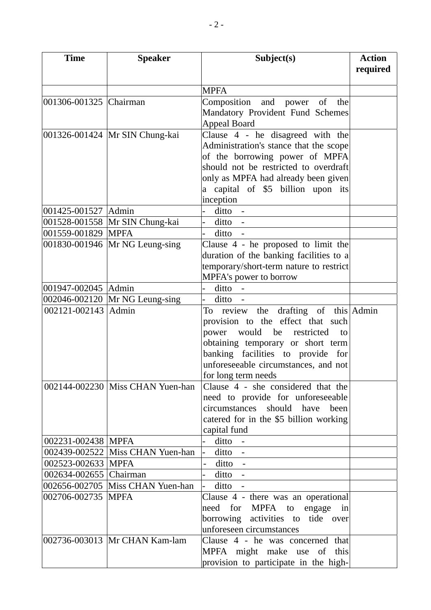| <b>Time</b>            | <b>Speaker</b>                   | Subject(s)                                                           | <b>Action</b> |
|------------------------|----------------------------------|----------------------------------------------------------------------|---------------|
|                        |                                  |                                                                      | required      |
|                        |                                  |                                                                      |               |
|                        |                                  | <b>MPFA</b>                                                          |               |
| 001306-001325 Chairman |                                  | Composition and power of the                                         |               |
|                        |                                  | Mandatory Provident Fund Schemes                                     |               |
|                        |                                  | <b>Appeal Board</b>                                                  |               |
|                        | 001326-001424   Mr SIN Chung-kai | Clause $4$ - he disagreed with the                                   |               |
|                        |                                  | Administration's stance that the scope                               |               |
|                        |                                  | of the borrowing power of MPFA                                       |               |
|                        |                                  | should not be restricted to overdraft                                |               |
|                        |                                  | only as MPFA had already been given                                  |               |
|                        |                                  | a capital of \$5 billion upon its                                    |               |
|                        |                                  | inception                                                            |               |
| 001425-001527 Admin    |                                  | ditto -<br>$\overline{a}$                                            |               |
|                        | 001528-001558 Mr SIN Chung-kai   | $ditto -$                                                            |               |
| 001559-001829   MPFA   |                                  | $ditto -$                                                            |               |
|                        | 001830-001946 Mr NG Leung-sing   | Clause $4$ - he proposed to limit the                                |               |
|                        |                                  | duration of the banking facilities to a                              |               |
|                        |                                  | temporary/short-term nature to restrict                              |               |
|                        |                                  | MPFA's power to borrow                                               |               |
| 001947-002045 Admin    |                                  | ditto -<br>$\overline{a}$                                            |               |
|                        | 002046-002120 Mr NG Leung-sing   | $ditto -$                                                            |               |
| 002121-002143 Admin    |                                  | To review the drafting of this Admin                                 |               |
|                        |                                  | provision to the effect that such                                    |               |
|                        |                                  | power would be restricted<br>to                                      |               |
|                        |                                  | obtaining temporary or short term                                    |               |
|                        |                                  | banking facilities to provide for                                    |               |
|                        |                                  | unforeseeable circumstances, and not                                 |               |
|                        |                                  | for long term needs                                                  |               |
|                        | 002144-002230 Miss CHAN Yuen-han | Clause 4 - she considered that the                                   |               |
|                        |                                  | need to provide for unforeseeable                                    |               |
|                        |                                  | circumstances should have<br>been                                    |               |
|                        |                                  | catered for in the \$5 billion working                               |               |
|                        |                                  | capital fund                                                         |               |
| 002231-002438 MPFA     |                                  | ditto -                                                              |               |
|                        | 002439-002522 Miss CHAN Yuen-han | ditto -<br>$\overline{a}$                                            |               |
| 002523-002633 MPFA     |                                  | $ditto -$                                                            |               |
| 002634-002655 Chairman |                                  | $ditto -$                                                            |               |
|                        | 002656-002705 Miss CHAN Yuen-han | $ditto -$                                                            |               |
| 002706-002735 MPFA     |                                  | Clause 4 - there was an operational                                  |               |
|                        |                                  | need for MPFA to engage<br>in                                        |               |
|                        |                                  | borrowing activities to tide over<br>unforeseen circumstances        |               |
|                        | 002736-003013 Mr CHAN Kam-lam    | Clause 4 - he was concerned that                                     |               |
|                        |                                  |                                                                      |               |
|                        |                                  | MPFA might make use of this<br>provision to participate in the high- |               |
|                        |                                  |                                                                      |               |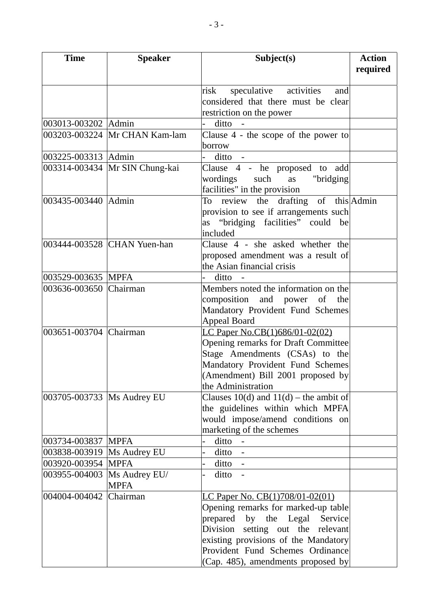| <b>Time</b>                  | <b>Speaker</b>                   | Subject(s)                                                         | <b>Action</b> |
|------------------------------|----------------------------------|--------------------------------------------------------------------|---------------|
|                              |                                  |                                                                    | required      |
|                              |                                  | speculative activities<br>risk<br>and                              |               |
|                              |                                  | considered that there must be clear                                |               |
|                              |                                  | restriction on the power                                           |               |
| 003013-003202 Admin          |                                  | $ditto -$                                                          |               |
|                              | 003203-003224 Mr CHAN Kam-lam    | Clause $4$ - the scope of the power to                             |               |
|                              |                                  | borrow                                                             |               |
| 003225-003313 Admin          |                                  | ditto -                                                            |               |
|                              | 003314-003434   Mr SIN Chung-kai | Clause 4 - he proposed to add                                      |               |
|                              |                                  | wordings such<br>as "bridging                                      |               |
|                              |                                  | facilities" in the provision                                       |               |
| 003435-003440 Admin          |                                  | review the drafting of this Admin<br>To                            |               |
|                              |                                  | provision to see if arrangements such                              |               |
|                              |                                  | as "bridging facilities" could be                                  |               |
|                              |                                  | included                                                           |               |
|                              | 003444-003528 CHAN Yuen-han      | Clause 4 - she asked whether the                                   |               |
|                              |                                  | proposed amendment was a result of                                 |               |
|                              |                                  | the Asian financial crisis                                         |               |
| 003529-003635 MPFA           |                                  | ditto                                                              |               |
| 003636-003650 Chairman       |                                  | Members noted the information on the                               |               |
|                              |                                  | composition and power of the                                       |               |
|                              |                                  | Mandatory Provident Fund Schemes                                   |               |
| 003651-003704 Chairman       |                                  | <b>Appeal Board</b><br>LC Paper No.CB(1)686/01-02(02)              |               |
|                              |                                  | Opening remarks for Draft Committee                                |               |
|                              |                                  | Stage Amendments (CSAs) to the                                     |               |
|                              |                                  | Mandatory Provident Fund Schemes                                   |               |
|                              |                                  | (Amendment) Bill 2001 proposed by                                  |               |
|                              |                                  | the Administration                                                 |               |
| 003705-003733   Ms Audrey EU |                                  | Clauses 10(d) and 11(d) – the ambit of                             |               |
|                              |                                  | the guidelines within which MPFA                                   |               |
|                              |                                  | would impose/amend conditions on                                   |               |
|                              |                                  | marketing of the schemes                                           |               |
| 003734-003837 MPFA           |                                  | ditto -                                                            |               |
| 003838-003919   Ms Audrey EU |                                  | $ditto -$                                                          |               |
| 003920-003954 MPFA           |                                  | $ditto -$                                                          |               |
|                              | 003955-004003  Ms Audrey EU/     | $ditto -$<br>-                                                     |               |
|                              | <b>MPFA</b>                      |                                                                    |               |
| 004004-004042 Chairman       |                                  | LC Paper No. CB(1)708/01-02(01)                                    |               |
|                              |                                  | Opening remarks for marked-up table                                |               |
|                              |                                  | prepared by the Legal Service<br>Division setting out the relevant |               |
|                              |                                  | existing provisions of the Mandatory                               |               |
|                              |                                  | Provident Fund Schemes Ordinance                                   |               |
|                              |                                  | (Cap. 485), amendments proposed by                                 |               |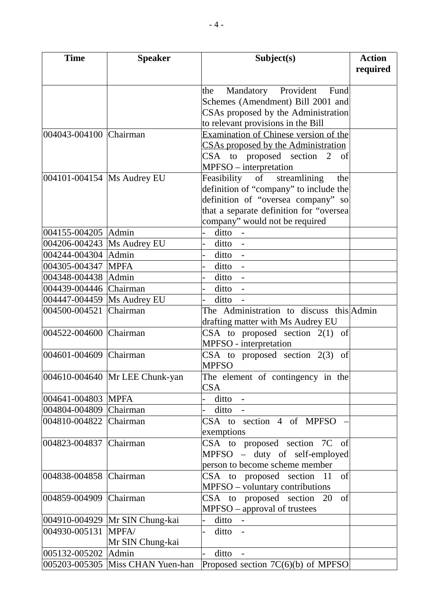| <b>Time</b>                  | <b>Speaker</b>                   | Subject(s)                               | <b>Action</b> |
|------------------------------|----------------------------------|------------------------------------------|---------------|
|                              |                                  |                                          | required      |
|                              |                                  |                                          |               |
|                              |                                  | Mandatory Provident<br>Fund<br>the       |               |
|                              |                                  | Schemes (Amendment) Bill 2001 and        |               |
|                              |                                  | CSAs proposed by the Administration      |               |
|                              |                                  | to relevant provisions in the Bill       |               |
| 004043-004100 Chairman       |                                  | Examination of Chinese version of the    |               |
|                              |                                  | CSAs proposed by the Administration      |               |
|                              |                                  | CSA to proposed section 2<br>of          |               |
|                              |                                  | MPFSO – interpretation                   |               |
| 004101-004154 Ms Audrey EU   |                                  | streamlining<br>Feasibility of<br>the    |               |
|                              |                                  | definition of "company" to include the   |               |
|                              |                                  | definition of "oversea company" so       |               |
|                              |                                  | that a separate definition for "oversea  |               |
|                              |                                  | company" would not be required           |               |
| 004155-004205 Admin          |                                  | ditto -                                  |               |
| 004206-004243  Ms Audrey EU  |                                  | ditto -                                  |               |
| 004244-004304 Admin          |                                  | $ditto -$                                |               |
| 004305-004347 MPFA           |                                  | ditto -                                  |               |
| 004348-004438 Admin          |                                  | $ditto -$                                |               |
| 004439-004446 Chairman       |                                  | ditto -                                  |               |
| 004447-004459   Ms Audrey EU |                                  | ditto                                    |               |
| 004500-004521 Chairman       |                                  | The Administration to discuss this Admin |               |
|                              |                                  | drafting matter with Ms Audrey EU        |               |
| 004522-004600 Chairman       |                                  | CSA to proposed section $2(1)$ of        |               |
|                              |                                  | MPFSO - interpretation                   |               |
| 004601-004609 Chairman       |                                  | CSA to proposed section $2(3)$<br>of     |               |
|                              |                                  | <b>MPFSO</b>                             |               |
|                              | 004610-004640 Mr LEE Chunk-yan   | The element of contingency in the        |               |
|                              |                                  | <b>CSA</b>                               |               |
| 004641-004803 MPFA           |                                  | $ditto -$                                |               |
| 004804-004809 Chairman       |                                  | ditto                                    |               |
| 004810-004822 Chairman       |                                  | CSA to section 4 of MPFSO                |               |
|                              |                                  | exemptions                               |               |
| 004823-004837 Chairman       |                                  | CSA to proposed section 7C of            |               |
|                              |                                  | MPFSO - duty of self-employed            |               |
|                              |                                  | person to become scheme member           |               |
| 004838-004858 Chairman       |                                  | CSA to proposed section 11<br>of         |               |
|                              |                                  | MPFSO – voluntary contributions          |               |
| 004859-004909 Chairman       |                                  | CSA to proposed section 20<br>of         |               |
|                              |                                  | MPFSO - approval of trustees             |               |
|                              | 004910-004929  Mr SIN Chung-kai  | ditto -                                  |               |
| 004930-005131                | MPFA/                            | ditto -                                  |               |
|                              | Mr SIN Chung-kai                 |                                          |               |
| 005132-005202 Admin          |                                  | ditto<br>$\sim$ $-$                      |               |
|                              | 005203-005305 Miss CHAN Yuen-han | Proposed section 7C(6)(b) of MPFSO       |               |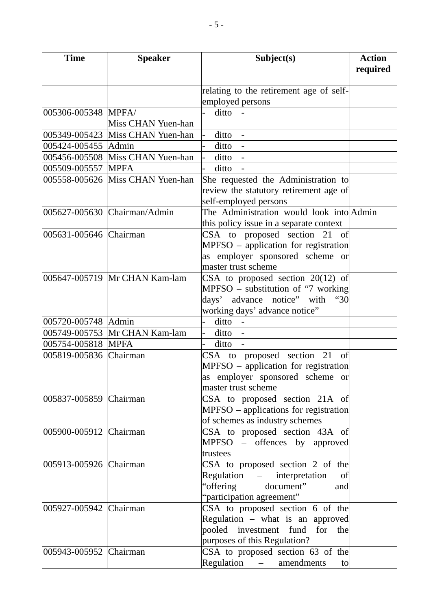| <b>Time</b>            | <b>Speaker</b>                   | Subject(s)                               | <b>Action</b><br>required |
|------------------------|----------------------------------|------------------------------------------|---------------------------|
|                        |                                  | relating to the retirement age of self-  |                           |
|                        |                                  | employed persons                         |                           |
| 005306-005348 MPFA/    |                                  | ditto -                                  |                           |
|                        | Miss CHAN Yuen-han               |                                          |                           |
|                        | 005349-005423 Miss CHAN Yuen-han | ditto -                                  |                           |
| 005424-005455 Admin    |                                  | ditto -                                  |                           |
|                        | 005456-005508 Miss CHAN Yuen-han | ditto -                                  |                           |
| 005509-005557 MPFA     |                                  | ditto -                                  |                           |
|                        | 005558-005626 Miss CHAN Yuen-han | She requested the Administration to      |                           |
|                        |                                  | review the statutory retirement age of   |                           |
|                        |                                  | self-employed persons                    |                           |
|                        | 005627-005630 Chairman/Admin     | The Administration would look into Admin |                           |
|                        |                                  | this policy issue in a separate context  |                           |
| 005631-005646 Chairman |                                  | CSA to proposed section 21<br>- of       |                           |
|                        |                                  | MPFSO - application for registration     |                           |
|                        |                                  | as employer sponsored scheme or          |                           |
|                        |                                  | master trust scheme                      |                           |
|                        | 005647-005719 Mr CHAN Kam-lam    | CSA to proposed section $20(12)$ of      |                           |
|                        |                                  | $MPFSO - substitution of "7 working]$    |                           |
|                        |                                  | days' advance notice" with<br>"30        |                           |
|                        |                                  | working days' advance notice"            |                           |
| 005720-005748 Admin    |                                  | $ditto -$                                |                           |
|                        | 005749-005753 Mr CHAN Kam-lam    | ditto -<br>$\overline{a}$                |                           |
| 005754-005818 MPFA     |                                  | ditto                                    |                           |
| 005819-005836 Chairman |                                  | CSA to proposed section 21 of            |                           |
|                        |                                  | $MPFSO$ – application for registration   |                           |
|                        |                                  | as employer sponsored scheme or          |                           |
|                        |                                  | master trust scheme                      |                           |
| 005837-005859 Chairman |                                  | CSA to proposed section 21A of           |                           |
|                        |                                  | $MPFSO - applications for registration$  |                           |
|                        |                                  | of schemes as industry schemes           |                           |
| 005900-005912 Chairman |                                  | CSA to proposed section 43A of           |                           |
|                        |                                  | MPFSO - offences by approved             |                           |
|                        |                                  | trustees                                 |                           |
| 005913-005926 Chairman |                                  | CSA to proposed section 2 of the         |                           |
|                        |                                  | Regulation – interpretation<br>of        |                           |
|                        |                                  | "offering document"<br>and               |                           |
|                        |                                  | "participation agreement"                |                           |
| 005927-005942 Chairman |                                  | CSA to proposed section 6 of the         |                           |
|                        |                                  | Regulation - what is an approved         |                           |
|                        |                                  | pooled investment fund for the           |                           |
|                        |                                  | purposes of this Regulation?             |                           |
| 005943-005952 Chairman |                                  | CSA to proposed section 63 of the        |                           |
|                        |                                  | Regulation - amendments<br>to            |                           |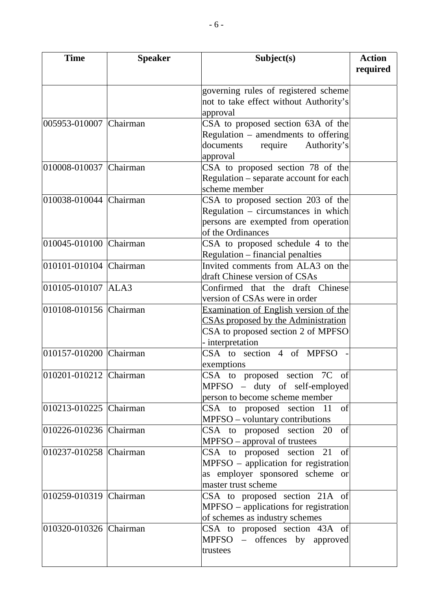| <b>Time</b>            | <b>Speaker</b> | Subject(s)                                             | <b>Action</b> |
|------------------------|----------------|--------------------------------------------------------|---------------|
|                        |                |                                                        | required      |
|                        |                | governing rules of registered scheme                   |               |
|                        |                | not to take effect without Authority's                 |               |
|                        |                | approval                                               |               |
| 005953-010007 Chairman |                | CSA to proposed section 63A of the                     |               |
|                        |                | Regulation $-$ amendments to offering                  |               |
|                        |                | require<br>Authority's<br>documents                    |               |
|                        |                | approval                                               |               |
| 010008-010037 Chairman |                | CSA to proposed section 78 of the                      |               |
|                        |                | Regulation – separate account for each                 |               |
|                        |                | scheme member                                          |               |
| 010038-010044 Chairman |                | CSA to proposed section 203 of the                     |               |
|                        |                | Regulation – circumstances in which                    |               |
|                        |                | persons are exempted from operation                    |               |
|                        |                | of the Ordinances                                      |               |
| 010045-010100 Chairman |                | CSA to proposed schedule 4 to the                      |               |
|                        |                | Regulation – financial penalties                       |               |
| 010101-010104 Chairman |                | Invited comments from ALA3 on the                      |               |
|                        |                | draft Chinese version of CSAs                          |               |
| 010105-010107 ALA3     |                | Confirmed that the draft Chinese                       |               |
|                        |                | version of CSAs were in order                          |               |
| 010108-010156 Chairman |                | <b>Examination of English version of the</b>           |               |
|                        |                | CSAs proposed by the Administration                    |               |
|                        |                | CSA to proposed section 2 of MPFSO<br>- interpretation |               |
| 010157-010200 Chairman |                | CSA to section 4 of MPFSO                              |               |
|                        |                | exemptions                                             |               |
| 010201-010212 Chairman |                | CSA to proposed section 7C of                          |               |
|                        |                | MPFSO – duty of self-employed                          |               |
|                        |                | person to become scheme member                         |               |
| 010213-010225 Chairman |                | of<br>CSA to proposed section 11                       |               |
|                        |                | MPFSO - voluntary contributions                        |               |
| 010226-010236 Chairman |                | CSA to proposed section 20 of                          |               |
|                        |                | MPFSO – approval of trustees                           |               |
| 010237-010258 Chairman |                | CSA to proposed section 21 of                          |               |
|                        |                | MPFSO – application for registration                   |               |
|                        |                | as employer sponsored scheme or                        |               |
|                        |                | master trust scheme                                    |               |
| 010259-010319 Chairman |                | CSA to proposed section 21A of                         |               |
|                        |                | MPFSO – applications for registration                  |               |
|                        |                | of schemes as industry schemes                         |               |
| 010320-010326 Chairman |                | CSA to proposed section 43A of                         |               |
|                        |                | MPFSO – offences by approved                           |               |
|                        |                | trustees                                               |               |
|                        |                |                                                        |               |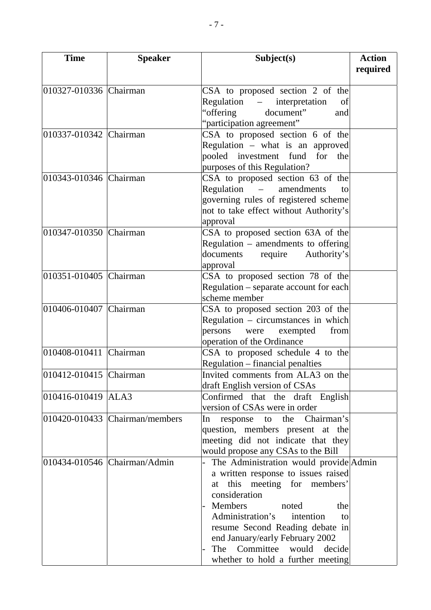| <b>Time</b>            | <b>Speaker</b>                     | Subject(s)                             | <b>Action</b><br>required |
|------------------------|------------------------------------|----------------------------------------|---------------------------|
|                        |                                    |                                        |                           |
| 010327-010336 Chairman |                                    | CSA to proposed section 2 of the       |                           |
|                        |                                    | Regulation – interpretation<br>of      |                           |
|                        |                                    | document"<br>"offering<br>and          |                           |
|                        |                                    | "participation agreement"              |                           |
| 010337-010342 Chairman |                                    | CSA to proposed section 6 of the       |                           |
|                        |                                    | Regulation - what is an approved       |                           |
|                        |                                    | pooled investment fund<br>for<br>the   |                           |
|                        |                                    | purposes of this Regulation?           |                           |
| 010343-010346 Chairman |                                    | CSA to proposed section 63 of the      |                           |
|                        |                                    | Regulation<br>amendments<br>to         |                           |
|                        |                                    | governing rules of registered scheme   |                           |
|                        |                                    | not to take effect without Authority's |                           |
|                        |                                    | approval                               |                           |
| 010347-010350 Chairman |                                    | CSA to proposed section 63A of the     |                           |
|                        |                                    | Regulation $-$ amendments to offering  |                           |
|                        |                                    | documents<br>require<br>Authority's    |                           |
|                        |                                    | approval                               |                           |
| 010351-010405 Chairman |                                    | CSA to proposed section 78 of the      |                           |
|                        |                                    | Regulation - separate account for each |                           |
|                        |                                    | scheme member                          |                           |
| 010406-010407 Chairman |                                    | CSA to proposed section 203 of the     |                           |
|                        |                                    | Regulation - circumstances in which    |                           |
|                        |                                    | persons<br>from<br>exempted<br>were    |                           |
|                        |                                    | operation of the Ordinance             |                           |
| 010408-010411 Chairman |                                    | CSA to proposed schedule 4 to the      |                           |
|                        |                                    | Regulation – financial penalties       |                           |
| 010412-010415 Chairman |                                    | Invited comments from ALA3 on the      |                           |
|                        |                                    | draft English version of CSAs          |                           |
| 010416-010419 ALA3     |                                    | Confirmed that the draft English       |                           |
|                        |                                    | version of CSAs were in order          |                           |
|                        | $010420 - 010433$ Chairman/members | response to the Chairman's<br>$\ln$    |                           |
|                        |                                    | question, members present at the       |                           |
|                        |                                    | meeting did not indicate that they     |                           |
|                        |                                    | would propose any CSAs to the Bill     |                           |
|                        | 010434-010546 Chairman/Admin       | The Administration would provide Admin |                           |
|                        |                                    | a written response to issues raised    |                           |
|                        |                                    | at this meeting for members'           |                           |
|                        |                                    | consideration                          |                           |
|                        |                                    | Members<br>noted<br>the                |                           |
|                        |                                    | Administration's<br>intention<br>to    |                           |
|                        |                                    | resume Second Reading debate in        |                           |
|                        |                                    | end January/early February 2002        |                           |
|                        |                                    | The Committee would decide             |                           |
|                        |                                    | whether to hold a further meeting      |                           |